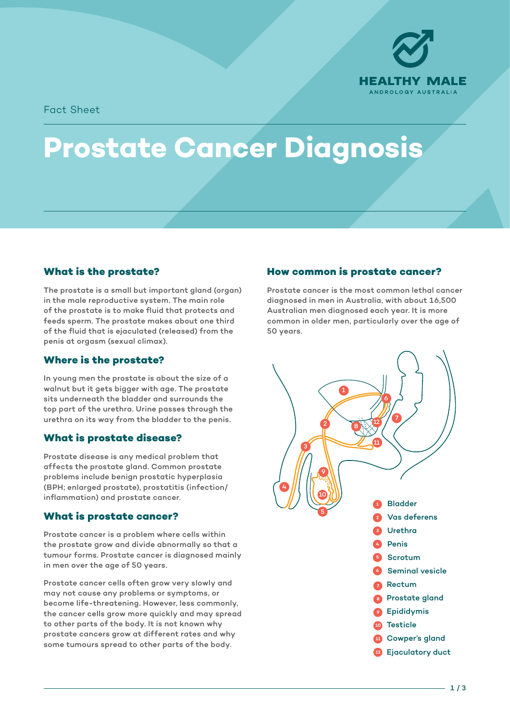

Fact Sheet

# **Prostate Cancer Diagnosis**

#### **What is the prostate?**

The prostate is a small but important gland (organ) in the male reproductive system. The main role of the prostate is to make fluid that protects and feeds sperm. The prostate makes about one third of the fluid that is ejaculated (released) from the penis at orgasm (sexual climax).

#### **Where is the prostate?**

In young men the prostate is about the size of a walnut but it gets bigger with age. The prostate sits underneath the bladder and surrounds the top part of the urethra. Urine passes through the urethra on its way from the bladder to the penis.

# **What is prostate disease?**

Prostate disease is any medical problem that affects the prostate gland. Common prostate problems include benign prostatic hyperplasia (BPH; enlarged prostate), prostatitis (infection/ inflammation) and prostate cancer.

# **What is prostate cancer?**

Prostate cancer is a problem where cells within the prostate grow and divide abnormally so that a tumour forms. Prostate cancer is diagnosed mainly in men over the age of 50 years.

Prostate cancer cells often grow very slowly and may not cause any problems or symptoms, or become life-threatening. However, less commonly, the cancer cells grow more quickly and may spread to other parts of the body. It is not known why prostate cancers grow at different rates and why some tumours spread to other parts of the body.

# **How common is prostate cancer?**

6 common in older men, particularly over the age of Prostate cancer is the most common lethal cancer diagnosed in men in Australia, with about 16,500 Australian men diagnosed each year. It is more 50 years.



**10**

<u>Testicle</u>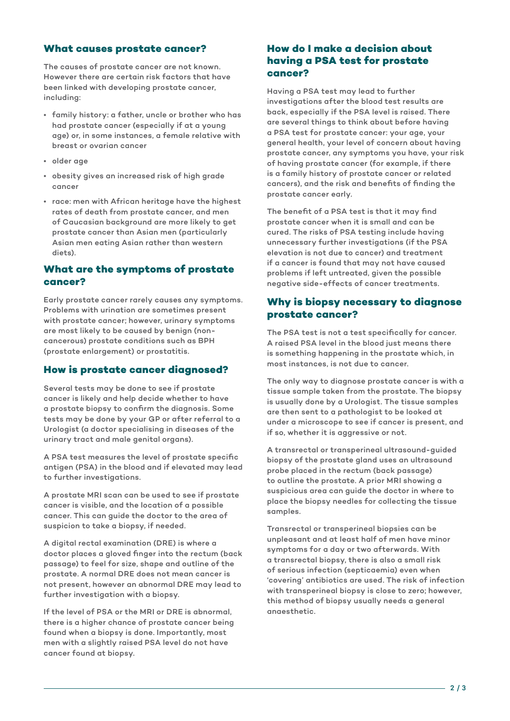#### **What causes prostate cancer?**

The causes of prostate cancer are not known. However there are certain risk factors that have been linked with developing prostate cancer, including:

- family history: a father, uncle or brother who has had prostate cancer (especially if at a young age) or, in some instances, a female relative with breast or ovarian cancer
- older age
- obesity gives an increased risk of high grade cancer
- race: men with African heritage have the highest rates of death from prostate cancer, and men of Caucasian background are more likely to get prostate cancer than Asian men (particularly Asian men eating Asian rather than western diets).

# **What are the symptoms of prostate cancer?**

Early prostate cancer rarely causes any symptoms. Problems with urination are sometimes present with prostate cancer; however, urinary symptoms are most likely to be caused by benign (noncancerous) prostate conditions such as BPH (prostate enlargement) or prostatitis.

# **How is prostate cancer diagnosed?**

Several tests may be done to see if prostate cancer is likely and help decide whether to have a prostate biopsy to confirm the diagnosis. Some tests may be done by your GP or after referral to a Urologist (a doctor specialising in diseases of the urinary tract and male genital organs).

A PSA test measures the level of prostate specific antigen (PSA) in the blood and if elevated may lead to further investigations.

A prostate MRI scan can be used to see if prostate cancer is visible, and the location of a possible cancer. This can guide the doctor to the area of suspicion to take a biopsy, if needed.

A digital rectal examination (DRE) is where a doctor places a gloved finger into the rectum (back passage) to feel for size, shape and outline of the prostate. A normal DRE does not mean cancer is not present, however an abnormal DRE may lead to further investigation with a biopsy.

If the level of PSA or the MRI or DRE is abnormal, there is a higher chance of prostate cancer being found when a biopsy is done. Importantly, most men with a slightly raised PSA level do not have cancer found at biopsy.

# **How do I make a decision about having a PSA test for prostate cancer?**

Having a PSA test may lead to further investigations after the blood test results are back, especially if the PSA level is raised. There are several things to think about before having a PSA test for prostate cancer: your age, your general health, your level of concern about having prostate cancer, any symptoms you have, your risk of having prostate cancer (for example, if there is a family history of prostate cancer or related cancers), and the risk and benefits of finding the prostate cancer early.

The benefit of a PSA test is that it may find prostate cancer when it is small and can be cured. The risks of PSA testing include having unnecessary further investigations (if the PSA elevation is not due to cancer) and treatment if a cancer is found that may not have caused problems if left untreated, given the possible negative side-effects of cancer treatments.

# **Why is biopsy necessary to diagnose prostate cancer?**

The PSA test is not a test specifically for cancer. A raised PSA level in the blood just means there is something happening in the prostate which, in most instances, is not due to cancer.

The only way to diagnose prostate cancer is with a tissue sample taken from the prostate. The biopsy is usually done by a Urologist. The tissue samples are then sent to a pathologist to be looked at under a microscope to see if cancer is present, and if so, whether it is aggressive or not.

A transrectal or transperineal ultrasound-guided biopsy of the prostate gland uses an ultrasound probe placed in the rectum (back passage) to outline the prostate. A prior MRI showing a suspicious area can guide the doctor in where to place the biopsy needles for collecting the tissue samples.

Transrectal or transperineal biopsies can be unpleasant and at least half of men have minor symptoms for a day or two afterwards. With a transrectal biopsy, there is also a small risk of serious infection (septicaemia) even when 'covering' antibiotics are used. The risk of infection with transperineal biopsy is close to zero; however, this method of biopsy usually needs a general anaesthetic.